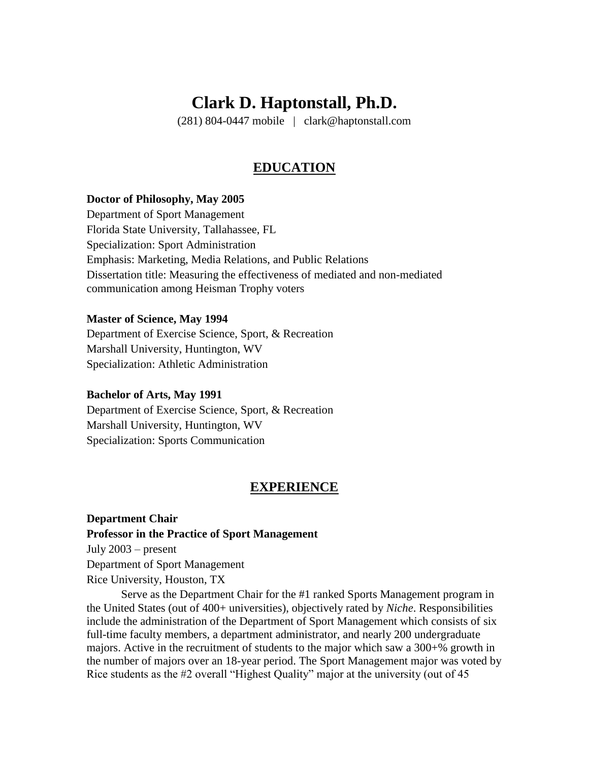# **Clark D. Haptonstall, Ph.D.**

(281) 804-0447 mobile | clark@haptonstall.com

### **EDUCATION**

#### **Doctor of Philosophy, May 2005**

Department of Sport Management Florida State University, Tallahassee, FL Specialization: Sport Administration Emphasis: Marketing, Media Relations, and Public Relations Dissertation title: Measuring the effectiveness of mediated and non-mediated communication among Heisman Trophy voters

#### **Master of Science, May 1994**

Department of Exercise Science, Sport, & Recreation Marshall University, Huntington, WV Specialization: Athletic Administration

#### **Bachelor of Arts, May 1991**

Department of Exercise Science, Sport, & Recreation Marshall University, Huntington, WV Specialization: Sports Communication

#### **EXPERIENCE**

**Department Chair Professor in the Practice of Sport Management** July 2003 – present Department of Sport Management Rice University, Houston, TX

Serve as the Department Chair for the #1 ranked Sports Management program in the United States (out of 400+ universities), objectively rated by *Niche*. Responsibilities include the administration of the Department of Sport Management which consists of six full-time faculty members, a department administrator, and nearly 200 undergraduate majors. Active in the recruitment of students to the major which saw a 300+% growth in the number of majors over an 18-year period. The Sport Management major was voted by Rice students as the #2 overall "Highest Quality" major at the university (out of 45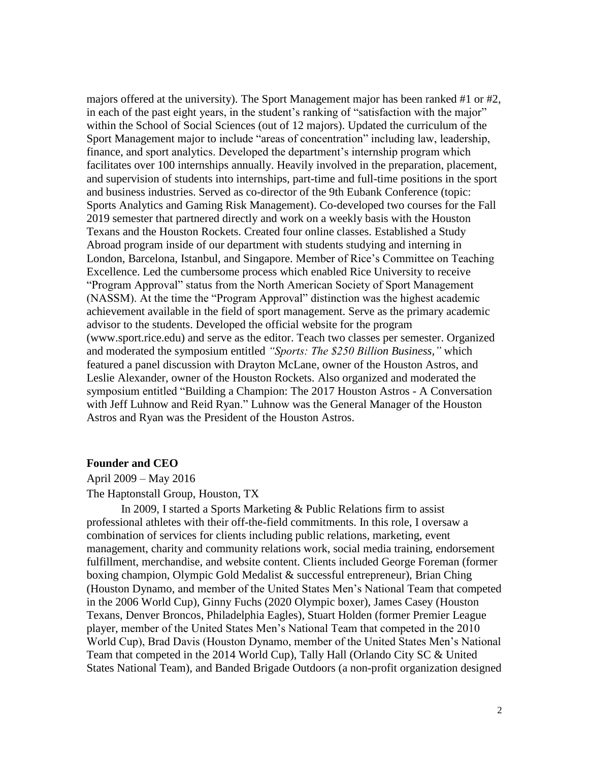majors offered at the university). The Sport Management major has been ranked #1 or #2, in each of the past eight years, in the student's ranking of "satisfaction with the major" within the School of Social Sciences (out of 12 majors). Updated the curriculum of the Sport Management major to include "areas of concentration" including law, leadership, finance, and sport analytics. Developed the department's internship program which facilitates over 100 internships annually. Heavily involved in the preparation, placement, and supervision of students into internships, part-time and full-time positions in the sport and business industries. Served as co-director of the 9th Eubank Conference (topic: Sports Analytics and Gaming Risk Management). Co-developed two courses for the Fall 2019 semester that partnered directly and work on a weekly basis with the Houston Texans and the Houston Rockets. Created four online classes. Established a Study Abroad program inside of our department with students studying and interning in London, Barcelona, Istanbul, and Singapore. Member of Rice's Committee on Teaching Excellence. Led the cumbersome process which enabled Rice University to receive "Program Approval" status from the North American Society of Sport Management (NASSM). At the time the "Program Approval" distinction was the highest academic achievement available in the field of sport management. Serve as the primary academic advisor to the students. Developed the official website for the program (www.sport.rice.edu) and serve as the editor. Teach two classes per semester. Organized and moderated the symposium entitled *"Sports: The \$250 Billion Business,"* which featured a panel discussion with Drayton McLane, owner of the Houston Astros, and Leslie Alexander, owner of the Houston Rockets. Also organized and moderated the symposium entitled "Building a Champion: The 2017 Houston Astros - A Conversation with Jeff Luhnow and Reid Ryan." Luhnow was the General Manager of the Houston Astros and Ryan was the President of the Houston Astros.

#### **Founder and CEO**

April 2009 – May 2016

The Haptonstall Group, Houston, TX

In 2009, I started a Sports Marketing & Public Relations firm to assist professional athletes with their off-the-field commitments. In this role, I oversaw a combination of services for clients including public relations, marketing, event management, charity and community relations work, social media training, endorsement fulfillment, merchandise, and website content. Clients included George Foreman (former boxing champion, Olympic Gold Medalist & successful entrepreneur), Brian Ching (Houston Dynamo, and member of the United States Men's National Team that competed in the 2006 World Cup), Ginny Fuchs (2020 Olympic boxer), James Casey (Houston Texans, Denver Broncos, Philadelphia Eagles), Stuart Holden (former Premier League player, member of the United States Men's National Team that competed in the 2010 World Cup), Brad Davis (Houston Dynamo, member of the United States Men's National Team that competed in the 2014 World Cup), Tally Hall (Orlando City SC & United States National Team), and Banded Brigade Outdoors (a non-profit organization designed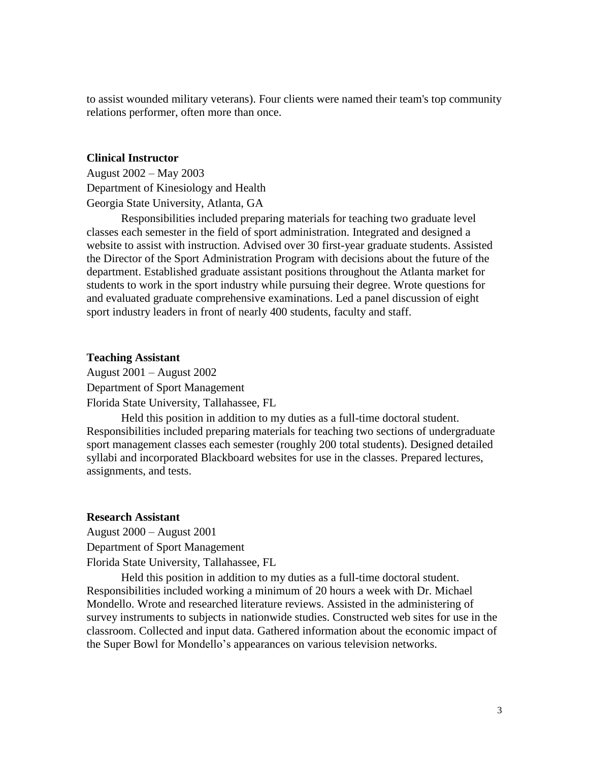to assist wounded military veterans). Four clients were named their team's top community relations performer, often more than once.

#### **Clinical Instructor**

August 2002 – May 2003 Department of Kinesiology and Health Georgia State University, Atlanta, GA

Responsibilities included preparing materials for teaching two graduate level classes each semester in the field of sport administration. Integrated and designed a website to assist with instruction. Advised over 30 first-year graduate students. Assisted the Director of the Sport Administration Program with decisions about the future of the department. Established graduate assistant positions throughout the Atlanta market for students to work in the sport industry while pursuing their degree. Wrote questions for and evaluated graduate comprehensive examinations. Led a panel discussion of eight sport industry leaders in front of nearly 400 students, faculty and staff.

#### **Teaching Assistant**

August 2001 – August 2002 Department of Sport Management Florida State University, Tallahassee, FL

Held this position in addition to my duties as a full-time doctoral student. Responsibilities included preparing materials for teaching two sections of undergraduate sport management classes each semester (roughly 200 total students). Designed detailed syllabi and incorporated Blackboard websites for use in the classes. Prepared lectures, assignments, and tests.

#### **Research Assistant**

August 2000 – August 2001 Department of Sport Management Florida State University, Tallahassee, FL

Held this position in addition to my duties as a full-time doctoral student. Responsibilities included working a minimum of 20 hours a week with Dr. Michael Mondello. Wrote and researched literature reviews. Assisted in the administering of survey instruments to subjects in nationwide studies. Constructed web sites for use in the classroom. Collected and input data. Gathered information about the economic impact of the Super Bowl for Mondello's appearances on various television networks.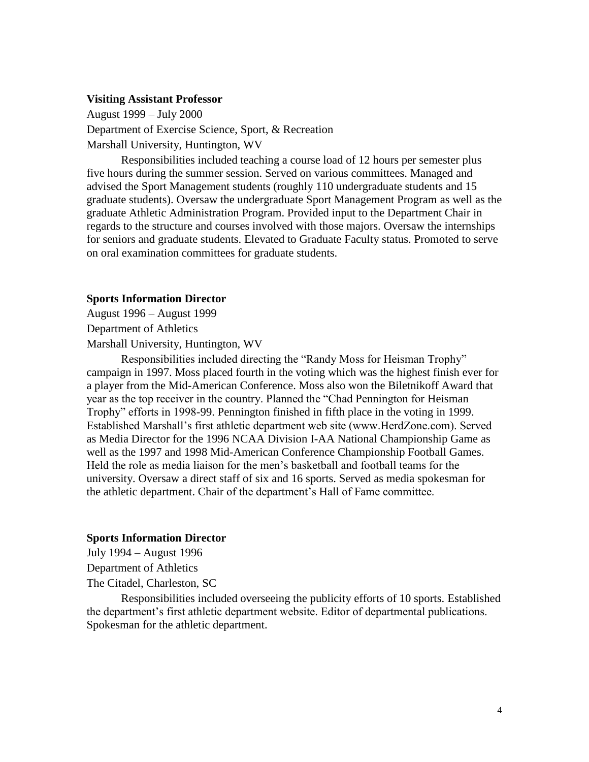#### **Visiting Assistant Professor**

August 1999 – July 2000 Department of Exercise Science, Sport, & Recreation Marshall University, Huntington, WV

Responsibilities included teaching a course load of 12 hours per semester plus five hours during the summer session. Served on various committees. Managed and advised the Sport Management students (roughly 110 undergraduate students and 15 graduate students). Oversaw the undergraduate Sport Management Program as well as the graduate Athletic Administration Program. Provided input to the Department Chair in regards to the structure and courses involved with those majors. Oversaw the internships for seniors and graduate students. Elevated to Graduate Faculty status. Promoted to serve on oral examination committees for graduate students.

#### **Sports Information Director**

August 1996 – August 1999 Department of Athletics

Marshall University, Huntington, WV

Responsibilities included directing the "Randy Moss for Heisman Trophy" campaign in 1997. Moss placed fourth in the voting which was the highest finish ever for a player from the Mid-American Conference. Moss also won the Biletnikoff Award that year as the top receiver in the country. Planned the "Chad Pennington for Heisman Trophy" efforts in 1998-99. Pennington finished in fifth place in the voting in 1999. Established Marshall's first athletic department web site (www.HerdZone.com). Served as Media Director for the 1996 NCAA Division I-AA National Championship Game as well as the 1997 and 1998 Mid-American Conference Championship Football Games. Held the role as media liaison for the men's basketball and football teams for the university. Oversaw a direct staff of six and 16 sports. Served as media spokesman for the athletic department. Chair of the department's Hall of Fame committee.

#### **Sports Information Director**

July 1994 – August 1996 Department of Athletics The Citadel, Charleston, SC

Responsibilities included overseeing the publicity efforts of 10 sports. Established the department's first athletic department website. Editor of departmental publications. Spokesman for the athletic department.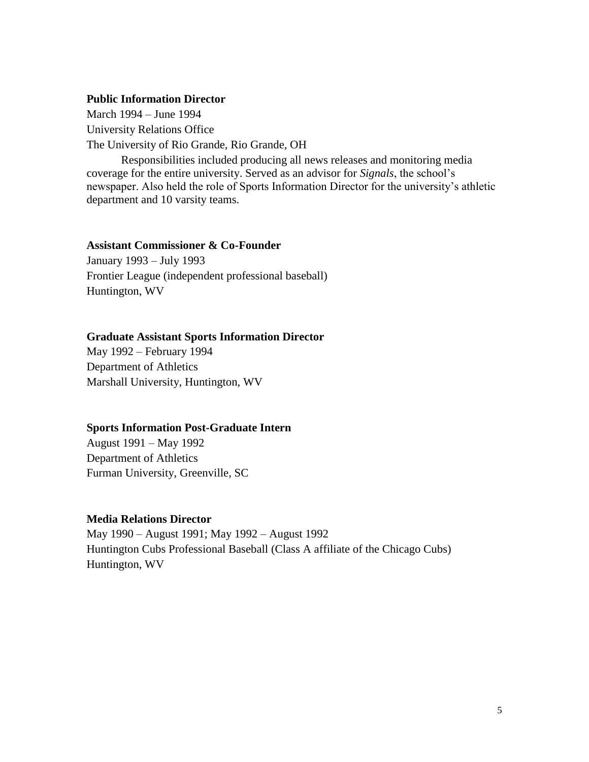#### **Public Information Director**

March 1994 – June 1994 University Relations Office The University of Rio Grande, Rio Grande, OH

Responsibilities included producing all news releases and monitoring media coverage for the entire university. Served as an advisor for *Signals*, the school's newspaper. Also held the role of Sports Information Director for the university's athletic department and 10 varsity teams.

#### **Assistant Commissioner & Co-Founder**

January 1993 – July 1993 Frontier League (independent professional baseball) Huntington, WV

#### **Graduate Assistant Sports Information Director**

May 1992 – February 1994 Department of Athletics Marshall University, Huntington, WV

#### **Sports Information Post-Graduate Intern**

August 1991 – May 1992 Department of Athletics Furman University, Greenville, SC

#### **Media Relations Director**

May 1990 – August 1991; May 1992 – August 1992 Huntington Cubs Professional Baseball (Class A affiliate of the Chicago Cubs) Huntington, WV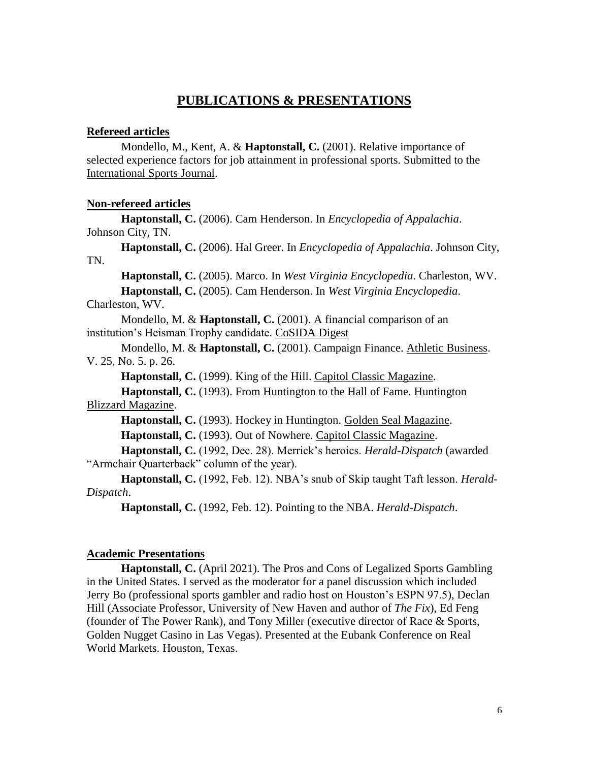### **PUBLICATIONS & PRESENTATIONS**

#### **Refereed articles**

Mondello, M., Kent, A. & **Haptonstall, C.** (2001). Relative importance of selected experience factors for job attainment in professional sports. Submitted to the International Sports Journal.

#### **Non-refereed articles**

**Haptonstall, C.** (2006). Cam Henderson. In *Encyclopedia of Appalachia*. Johnson City, TN.

**Haptonstall, C.** (2006). Hal Greer. In *Encyclopedia of Appalachia*. Johnson City, TN.

**Haptonstall, C.** (2005). Marco. In *West Virginia Encyclopedia*. Charleston, WV. **Haptonstall, C.** (2005). Cam Henderson. In *West Virginia Encyclopedia*.

Charleston, WV.

Mondello, M. & **Haptonstall, C.** (2001). A financial comparison of an institution's Heisman Trophy candidate. CoSIDA Digest

Mondello, M. & **Haptonstall, C.** (2001). Campaign Finance. Athletic Business. V. 25, No. 5. p. 26.

**Haptonstall, C.** (1999). King of the Hill. Capitol Classic Magazine.

**Haptonstall, C.** (1993). From Huntington to the Hall of Fame. Huntington Blizzard Magazine.

**Haptonstall, C.** (1993). Hockey in Huntington. Golden Seal Magazine.

**Haptonstall, C.** (1993). Out of Nowhere. Capitol Classic Magazine.

**Haptonstall, C.** (1992, Dec. 28). Merrick's heroics. *Herald-Dispatch* (awarded "Armchair Quarterback" column of the year).

**Haptonstall, C.** (1992, Feb. 12). NBA's snub of Skip taught Taft lesson. *Herald-Dispatch*.

**Haptonstall, C.** (1992, Feb. 12). Pointing to the NBA. *Herald-Dispatch*.

#### **Academic Presentations**

**Haptonstall, C.** (April 2021). The Pros and Cons of Legalized Sports Gambling in the United States. I served as the moderator for a panel discussion which included Jerry Bo (professional sports gambler and radio host on Houston's ESPN 97.5), Declan Hill (Associate Professor, University of New Haven and author of *The Fix*), Ed Feng (founder of The Power Rank), and Tony Miller (executive director of Race & Sports, Golden Nugget Casino in Las Vegas). Presented at the Eubank Conference on Real World Markets. Houston, Texas.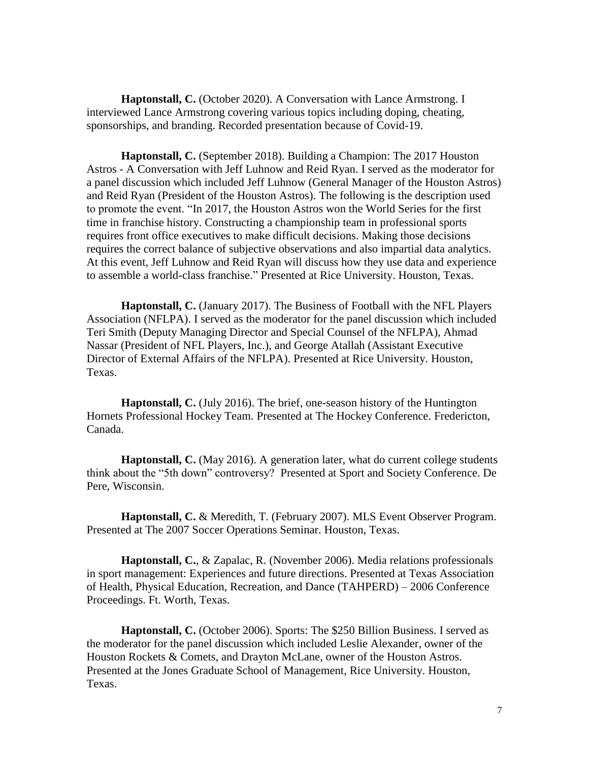**Haptonstall, C.** (October 2020). A Conversation with Lance Armstrong. I interviewed Lance Armstrong covering various topics including doping, cheating, sponsorships, and branding. Recorded presentation because of Covid-19.

**Haptonstall, C.** (September 2018). Building a Champion: The 2017 Houston Astros - A Conversation with Jeff Luhnow and Reid Ryan. I served as the moderator for a panel discussion which included Jeff Luhnow (General Manager of the Houston Astros) and Reid Ryan (President of the Houston Astros). The following is the description used to promote the event. "In 2017, the Houston Astros won the World Series for the first time in franchise history. Constructing a championship team in professional sports requires front office executives to make difficult decisions. Making those decisions requires the correct balance of subjective observations and also impartial data analytics. At this event, Jeff Luhnow and Reid Ryan will discuss how they use data and experience to assemble a world-class franchise." Presented at Rice University. Houston, Texas.

**Haptonstall, C.** (January 2017). The Business of Football with the NFL Players Association (NFLPA). I served as the moderator for the panel discussion which included Teri Smith (Deputy Managing Director and Special Counsel of the NFLPA), Ahmad Nassar (President of NFL Players, Inc.), and George Atallah (Assistant Executive Director of External Affairs of the NFLPA). Presented at Rice University. Houston, Texas.

**Haptonstall, C.** (July 2016). The brief, one-season history of the Huntington Hornets Professional Hockey Team. Presented at The Hockey Conference. Fredericton, Canada.

**Haptonstall, C.** (May 2016). A generation later, what do current college students think about the "5th down" controversy? Presented at Sport and Society Conference. De Pere, Wisconsin.

**Haptonstall, C.** & Meredith, T. (February 2007). MLS Event Observer Program. Presented at The 2007 Soccer Operations Seminar. Houston, Texas.

**Haptonstall, C.**, & Zapalac, R. (November 2006). Media relations professionals in sport management: Experiences and future directions. Presented at Texas Association of Health, Physical Education, Recreation, and Dance (TAHPERD) – 2006 Conference Proceedings. Ft. Worth, Texas.

**Haptonstall, C.** (October 2006). Sports: The \$250 Billion Business. I served as the moderator for the panel discussion which included Leslie Alexander, owner of the Houston Rockets & Comets, and Drayton McLane, owner of the Houston Astros. Presented at the Jones Graduate School of Management, Rice University. Houston, Texas.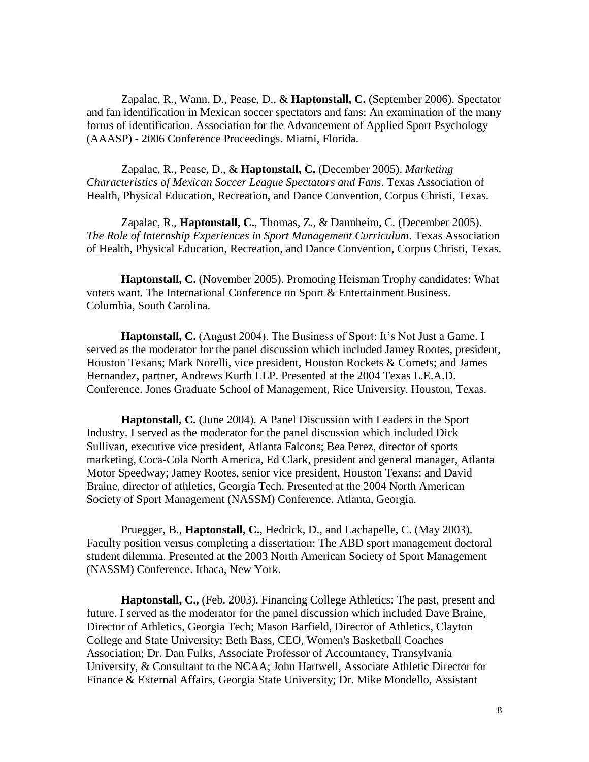Zapalac, R., Wann, D., Pease, D., & **Haptonstall, C.** (September 2006). Spectator and fan identification in Mexican soccer spectators and fans: An examination of the many forms of identification. Association for the Advancement of Applied Sport Psychology (AAASP) - 2006 Conference Proceedings. Miami, Florida.

Zapalac, R., Pease, D., & **Haptonstall, C.** (December 2005). *Marketing Characteristics of Mexican Soccer League Spectators and Fans*. Texas Association of Health, Physical Education, Recreation, and Dance Convention, Corpus Christi, Texas.

Zapalac, R., **Haptonstall, C.**, Thomas, Z., & Dannheim, C. (December 2005). *The Role of Internship Experiences in Sport Management Curriculum*. Texas Association of Health, Physical Education, Recreation, and Dance Convention, Corpus Christi, Texas.

**Haptonstall, C.** (November 2005). Promoting Heisman Trophy candidates: What voters want. The International Conference on Sport & Entertainment Business. Columbia, South Carolina.

**Haptonstall, C.** (August 2004). The Business of Sport: It's Not Just a Game. I served as the moderator for the panel discussion which included Jamey Rootes, president, Houston Texans; Mark Norelli, vice president, Houston Rockets & Comets; and James Hernandez, partner, Andrews Kurth LLP. Presented at the 2004 Texas L.E.A.D. Conference. Jones Graduate School of Management, Rice University. Houston, Texas.

**Haptonstall, C.** (June 2004). A Panel Discussion with Leaders in the Sport Industry. I served as the moderator for the panel discussion which included Dick Sullivan, executive vice president, Atlanta Falcons; Bea Perez, director of sports marketing, Coca-Cola North America, Ed Clark, president and general manager, Atlanta Motor Speedway; Jamey Rootes, senior vice president, Houston Texans; and David Braine, director of athletics, Georgia Tech. Presented at the 2004 North American Society of Sport Management (NASSM) Conference. Atlanta, Georgia.

Pruegger, B., **Haptonstall, C.**, Hedrick, D., and Lachapelle, C. (May 2003). Faculty position versus completing a dissertation: The ABD sport management doctoral student dilemma. Presented at the 2003 North American Society of Sport Management (NASSM) Conference. Ithaca, New York.

**Haptonstall, C.,** (Feb. 2003). Financing College Athletics: The past, present and future. I served as the moderator for the panel discussion which included Dave Braine, Director of Athletics, Georgia Tech; Mason Barfield, Director of Athletics, Clayton College and State University; Beth Bass, CEO, Women's Basketball Coaches Association; Dr. Dan Fulks, Associate Professor of Accountancy, Transylvania University, & Consultant to the NCAA; John Hartwell, Associate Athletic Director for Finance & External Affairs, Georgia State University; Dr. Mike Mondello, Assistant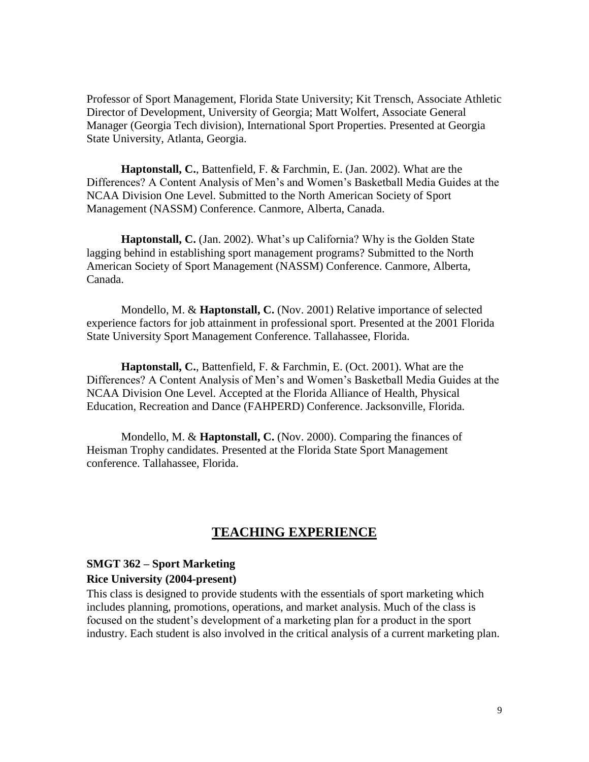Professor of Sport Management, Florida State University; Kit Trensch, Associate Athletic Director of Development, University of Georgia; Matt Wolfert, Associate General Manager (Georgia Tech division), International Sport Properties. Presented at Georgia State University, Atlanta, Georgia.

**Haptonstall, C.**, Battenfield, F. & Farchmin, E. (Jan. 2002). What are the Differences? A Content Analysis of Men's and Women's Basketball Media Guides at the NCAA Division One Level. Submitted to the North American Society of Sport Management (NASSM) Conference. Canmore, Alberta, Canada.

**Haptonstall, C.** (Jan. 2002). What's up California? Why is the Golden State lagging behind in establishing sport management programs? Submitted to the North American Society of Sport Management (NASSM) Conference. Canmore, Alberta, Canada.

Mondello, M. & **Haptonstall, C.** (Nov. 2001) Relative importance of selected experience factors for job attainment in professional sport. Presented at the 2001 Florida State University Sport Management Conference. Tallahassee, Florida.

**Haptonstall, C.**, Battenfield, F. & Farchmin, E. (Oct. 2001). What are the Differences? A Content Analysis of Men's and Women's Basketball Media Guides at the NCAA Division One Level. Accepted at the Florida Alliance of Health, Physical Education, Recreation and Dance (FAHPERD) Conference. Jacksonville, Florida.

Mondello, M. & **Haptonstall, C.** (Nov. 2000). Comparing the finances of Heisman Trophy candidates. Presented at the Florida State Sport Management conference. Tallahassee, Florida.

#### **TEACHING EXPERIENCE**

#### **SMGT 362 – Sport Marketing**

#### **Rice University (2004-present)**

This class is designed to provide students with the essentials of sport marketing which includes planning, promotions, operations, and market analysis. Much of the class is focused on the student's development of a marketing plan for a product in the sport industry. Each student is also involved in the critical analysis of a current marketing plan.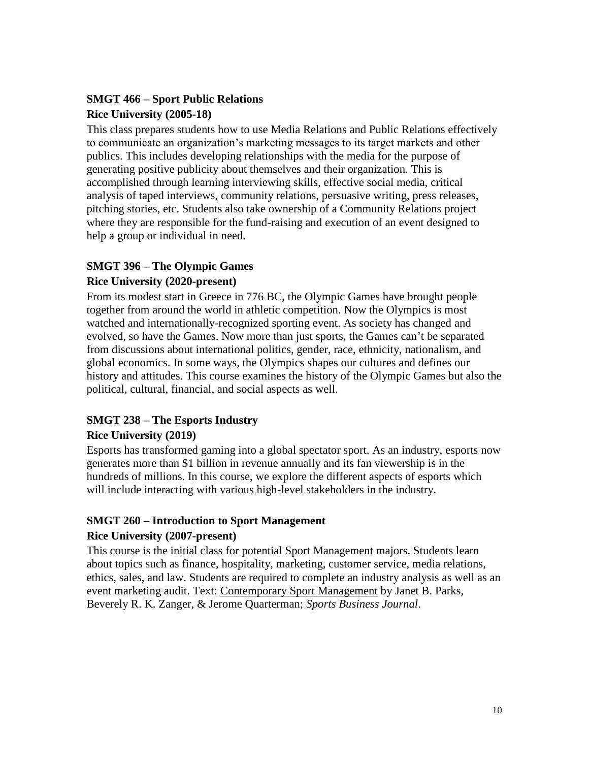# **SMGT 466 – Sport Public Relations Rice University (2005-18)**

This class prepares students how to use Media Relations and Public Relations effectively to communicate an organization's marketing messages to its target markets and other publics. This includes developing relationships with the media for the purpose of generating positive publicity about themselves and their organization. This is accomplished through learning interviewing skills, effective social media, critical analysis of taped interviews, community relations, persuasive writing, press releases, pitching stories, etc. Students also take ownership of a Community Relations project where they are responsible for the fund-raising and execution of an event designed to help a group or individual in need.

#### **SMGT 396 – The Olympic Games**

#### **Rice University (2020-present)**

From its modest start in Greece in 776 BC, the Olympic Games have brought people together from around the world in athletic competition. Now the Olympics is most watched and internationally-recognized sporting event. As society has changed and evolved, so have the Games. Now more than just sports, the Games can't be separated from discussions about international politics, gender, race, ethnicity, nationalism, and global economics. In some ways, the Olympics shapes our cultures and defines our history and attitudes. This course examines the history of the Olympic Games but also the political, cultural, financial, and social aspects as well.

# **SMGT 238 – The Esports Industry**

#### **Rice University (2019)**

Esports has transformed gaming into a global spectator sport. As an industry, esports now generates more than \$1 billion in revenue annually and its fan viewership is in the hundreds of millions. In this course, we explore the different aspects of esports which will include interacting with various high-level stakeholders in the industry.

### **SMGT 260 – Introduction to Sport Management**

#### **Rice University (2007-present)**

This course is the initial class for potential Sport Management majors. Students learn about topics such as finance, hospitality, marketing, customer service, media relations, ethics, sales, and law. Students are required to complete an industry analysis as well as an event marketing audit. Text: Contemporary Sport Management by Janet B. Parks, Beverely R. K. Zanger, & Jerome Quarterman; *Sports Business Journal*.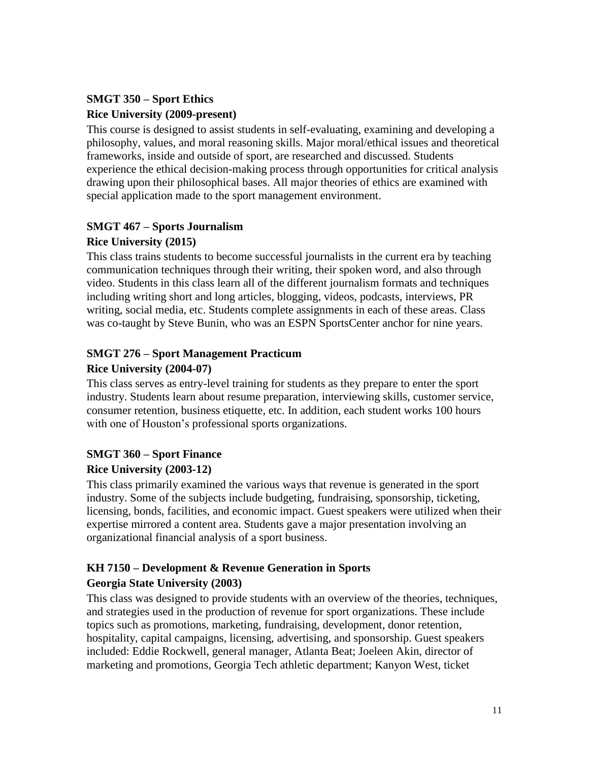# **SMGT 350 – Sport Ethics Rice University (2009-present)**

This course is designed to assist students in self-evaluating, examining and developing a philosophy, values, and moral reasoning skills. Major moral/ethical issues and theoretical frameworks, inside and outside of sport, are researched and discussed. Students experience the ethical decision-making process through opportunities for critical analysis drawing upon their philosophical bases. All major theories of ethics are examined with special application made to the sport management environment.

# **SMGT 467 – Sports Journalism**

### **Rice University (2015)**

This class trains students to become successful journalists in the current era by teaching communication techniques through their writing, their spoken word, and also through video. Students in this class learn all of the different journalism formats and techniques including writing short and long articles, blogging, videos, podcasts, interviews, PR writing, social media, etc. Students complete assignments in each of these areas. Class was co-taught by Steve Bunin, who was an ESPN SportsCenter anchor for nine years.

## **SMGT 276 – Sport Management Practicum**

### **Rice University (2004-07)**

This class serves as entry-level training for students as they prepare to enter the sport industry. Students learn about resume preparation, interviewing skills, customer service, consumer retention, business etiquette, etc. In addition, each student works 100 hours with one of Houston's professional sports organizations.

# **SMGT 360 – Sport Finance**

### **Rice University (2003-12)**

This class primarily examined the various ways that revenue is generated in the sport industry. Some of the subjects include budgeting, fundraising, sponsorship, ticketing, licensing, bonds, facilities, and economic impact. Guest speakers were utilized when their expertise mirrored a content area. Students gave a major presentation involving an organizational financial analysis of a sport business.

### **KH 7150 – Development & Revenue Generation in Sports Georgia State University (2003)**

This class was designed to provide students with an overview of the theories, techniques, and strategies used in the production of revenue for sport organizations. These include topics such as promotions, marketing, fundraising, development, donor retention, hospitality, capital campaigns, licensing, advertising, and sponsorship. Guest speakers included: Eddie Rockwell, general manager, Atlanta Beat; Joeleen Akin, director of marketing and promotions, Georgia Tech athletic department; Kanyon West, ticket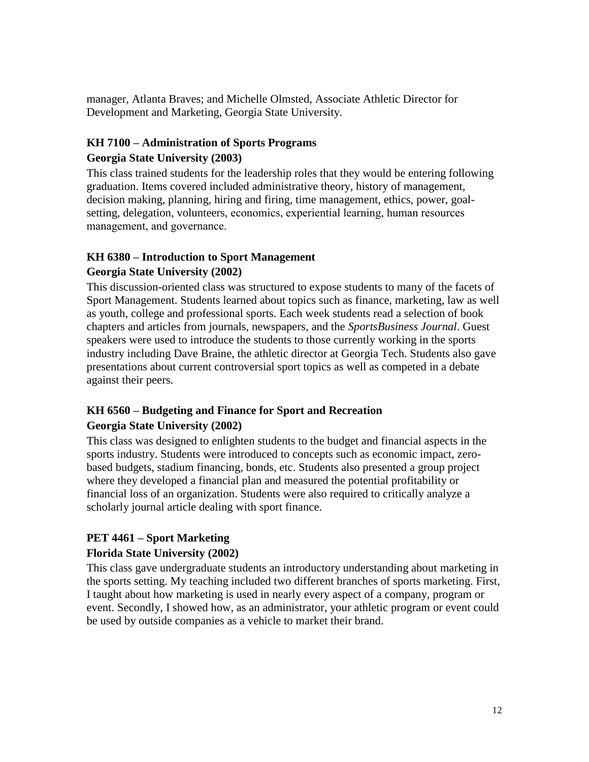manager, Atlanta Braves; and Michelle Olmsted, Associate Athletic Director for Development and Marketing, Georgia State University.

# **KH 7100 – Administration of Sports Programs**

#### **Georgia State University (2003)**

This class trained students for the leadership roles that they would be entering following graduation. Items covered included administrative theory, history of management, decision making, planning, hiring and firing, time management, ethics, power, goalsetting, delegation, volunteers, economics, experiential learning, human resources management, and governance.

#### **KH 6380 – Introduction to Sport Management**

#### **Georgia State University (2002)**

This discussion-oriented class was structured to expose students to many of the facets of Sport Management. Students learned about topics such as finance, marketing, law as well as youth, college and professional sports. Each week students read a selection of book chapters and articles from journals, newspapers, and the *SportsBusiness Journal*. Guest speakers were used to introduce the students to those currently working in the sports industry including Dave Braine, the athletic director at Georgia Tech. Students also gave presentations about current controversial sport topics as well as competed in a debate against their peers.

### **KH 6560 – Budgeting and Finance for Sport and Recreation Georgia State University (2002)**

This class was designed to enlighten students to the budget and financial aspects in the sports industry. Students were introduced to concepts such as economic impact, zerobased budgets, stadium financing, bonds, etc. Students also presented a group project where they developed a financial plan and measured the potential profitability or financial loss of an organization. Students were also required to critically analyze a scholarly journal article dealing with sport finance.

### **PET 4461 – Sport Marketing**

#### **Florida State University (2002)**

This class gave undergraduate students an introductory understanding about marketing in the sports setting. My teaching included two different branches of sports marketing. First, I taught about how marketing is used in nearly every aspect of a company, program or event. Secondly, I showed how, as an administrator, your athletic program or event could be used by outside companies as a vehicle to market their brand.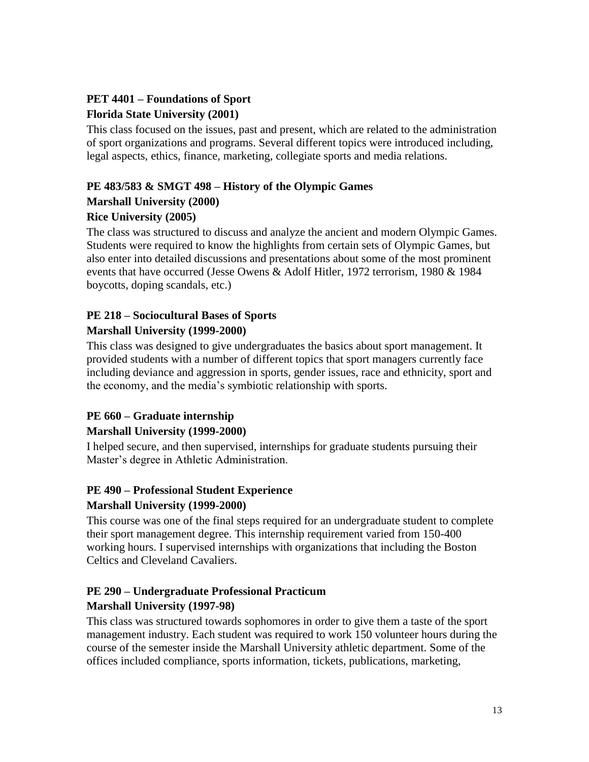## **PET 4401 – Foundations of Sport Florida State University (2001)**

This class focused on the issues, past and present, which are related to the administration of sport organizations and programs. Several different topics were introduced including, legal aspects, ethics, finance, marketing, collegiate sports and media relations.

# **PE 483/583 & SMGT 498 – History of the Olympic Games**

### **Marshall University (2000)**

### **Rice University (2005)**

The class was structured to discuss and analyze the ancient and modern Olympic Games. Students were required to know the highlights from certain sets of Olympic Games, but also enter into detailed discussions and presentations about some of the most prominent events that have occurred (Jesse Owens & Adolf Hitler, 1972 terrorism, 1980 & 1984 boycotts, doping scandals, etc.)

# **PE 218 – Sociocultural Bases of Sports**

#### **Marshall University (1999-2000)**

This class was designed to give undergraduates the basics about sport management. It provided students with a number of different topics that sport managers currently face including deviance and aggression in sports, gender issues, race and ethnicity, sport and the economy, and the media's symbiotic relationship with sports.

### **PE 660 – Graduate internship**

### **Marshall University (1999-2000)**

I helped secure, and then supervised, internships for graduate students pursuing their Master's degree in Athletic Administration.

# **PE 490 – Professional Student Experience**

#### **Marshall University (1999-2000)**

This course was one of the final steps required for an undergraduate student to complete their sport management degree. This internship requirement varied from 150-400 working hours. I supervised internships with organizations that including the Boston Celtics and Cleveland Cavaliers.

# **PE 290 – Undergraduate Professional Practicum**

#### **Marshall University (1997-98)**

This class was structured towards sophomores in order to give them a taste of the sport management industry. Each student was required to work 150 volunteer hours during the course of the semester inside the Marshall University athletic department. Some of the offices included compliance, sports information, tickets, publications, marketing,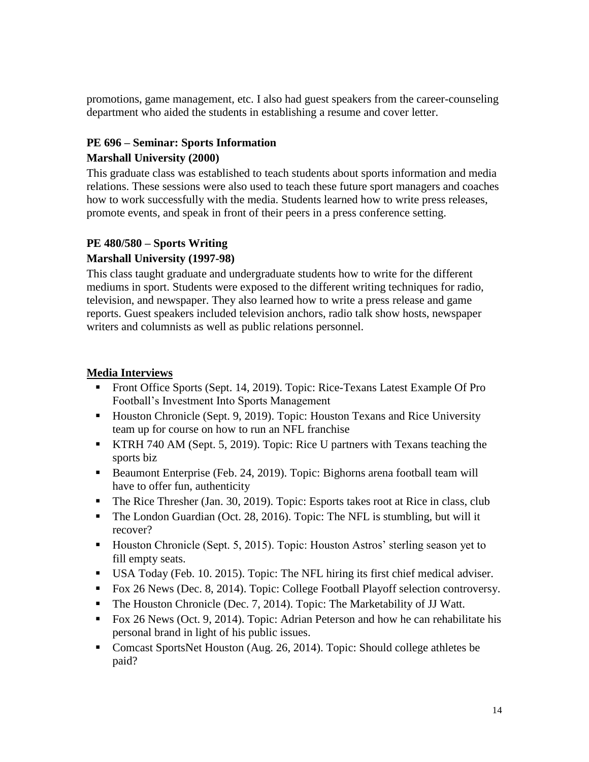promotions, game management, etc. I also had guest speakers from the career-counseling department who aided the students in establishing a resume and cover letter.

#### **PE 696 – Seminar: Sports Information Marshall University (2000)**

This graduate class was established to teach students about sports information and media relations. These sessions were also used to teach these future sport managers and coaches how to work successfully with the media. Students learned how to write press releases, promote events, and speak in front of their peers in a press conference setting.

## **PE 480/580 – Sports Writing Marshall University (1997-98)**

This class taught graduate and undergraduate students how to write for the different mediums in sport. Students were exposed to the different writing techniques for radio, television, and newspaper. They also learned how to write a press release and game reports. Guest speakers included television anchors, radio talk show hosts, newspaper writers and columnists as well as public relations personnel.

#### **Media Interviews**

- Front Office Sports (Sept. 14, 2019). Topic: Rice-Texans Latest Example Of Pro Football's Investment Into Sports Management
- Houston Chronicle (Sept. 9, 2019). Topic: Houston Texans and Rice University team up for course on how to run an NFL franchise
- KTRH 740 AM (Sept. 5, 2019). Topic: Rice U partners with Texans teaching the sports biz
- Beaumont Enterprise (Feb. 24, 2019). Topic: Bighorns arena football team will have to offer fun, authenticity
- The Rice Thresher (Jan. 30, 2019). Topic: Esports takes root at Rice in class, club
- The London Guardian (Oct. 28, 2016). Topic: The NFL is stumbling, but will it recover?
- Houston Chronicle (Sept. 5, 2015). Topic: Houston Astros' sterling season yet to fill empty seats.
- USA Today (Feb. 10. 2015). Topic: The NFL hiring its first chief medical adviser.
- Fox 26 News (Dec. 8, 2014). Topic: College Football Playoff selection controversy.
- The Houston Chronicle (Dec. 7, 2014). Topic: The Marketability of JJ Watt.
- Fox 26 News (Oct. 9, 2014). Topic: Adrian Peterson and how he can rehabilitate his personal brand in light of his public issues.
- Comcast SportsNet Houston (Aug. 26, 2014). Topic: Should college athletes be paid?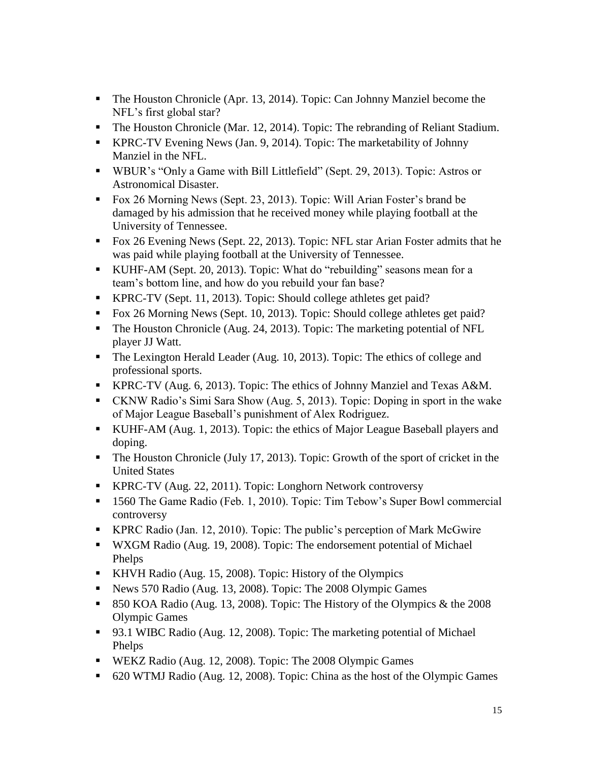- The Houston Chronicle (Apr. 13, 2014). Topic: Can Johnny Manziel become the NFL's first global star?
- The Houston Chronicle (Mar. 12, 2014). Topic: The rebranding of Reliant Stadium.
- KPRC-TV Evening News (Jan. 9, 2014). Topic: The marketability of Johnny Manziel in the NFL.
- WBUR's "Only a Game with Bill Littlefield" (Sept. 29, 2013). Topic: Astros or Astronomical Disaster.
- Fox 26 Morning News (Sept. 23, 2013). Topic: Will Arian Foster's brand be damaged by his admission that he received money while playing football at the University of Tennessee.
- Fox 26 Evening News (Sept. 22, 2013). Topic: NFL star Arian Foster admits that he was paid while playing football at the University of Tennessee.
- KUHF-AM (Sept. 20, 2013). Topic: What do "rebuilding" seasons mean for a team's bottom line, and how do you rebuild your fan base?
- KPRC-TV (Sept. 11, 2013). Topic: Should college athletes get paid?
- Fox 26 Morning News (Sept. 10, 2013). Topic: Should college athletes get paid?
- The Houston Chronicle (Aug. 24, 2013). Topic: The marketing potential of NFL player JJ Watt.
- The Lexington Herald Leader (Aug. 10, 2013). Topic: The ethics of college and professional sports.
- KPRC-TV (Aug. 6, 2013). Topic: The ethics of Johnny Manziel and Texas A&M.
- CKNW Radio's Simi Sara Show (Aug. 5, 2013). Topic: Doping in sport in the wake of Major League Baseball's punishment of Alex Rodriguez.
- KUHF-AM (Aug. 1, 2013). Topic: the ethics of Major League Baseball players and doping.
- The Houston Chronicle (July 17, 2013). Topic: Growth of the sport of cricket in the United States
- KPRC-TV (Aug. 22, 2011). Topic: Longhorn Network controversy
- **1560** The Game Radio (Feb. 1, 2010). Topic: Tim Tebow's Super Bowl commercial controversy
- KPRC Radio (Jan. 12, 2010). Topic: The public's perception of Mark McGwire
- WXGM Radio (Aug. 19, 2008). Topic: The endorsement potential of Michael Phelps
- KHVH Radio (Aug. 15, 2008). Topic: History of the Olympics
- News 570 Radio (Aug. 13, 2008). Topic: The 2008 Olympic Games
- 850 KOA Radio (Aug. 13, 2008). Topic: The History of the Olympics  $\&$  the 2008 Olympic Games
- 93.1 WIBC Radio (Aug. 12, 2008). Topic: The marketing potential of Michael Phelps
- WEKZ Radio (Aug. 12, 2008). Topic: The 2008 Olympic Games
- 620 WTMJ Radio (Aug. 12, 2008). Topic: China as the host of the Olympic Games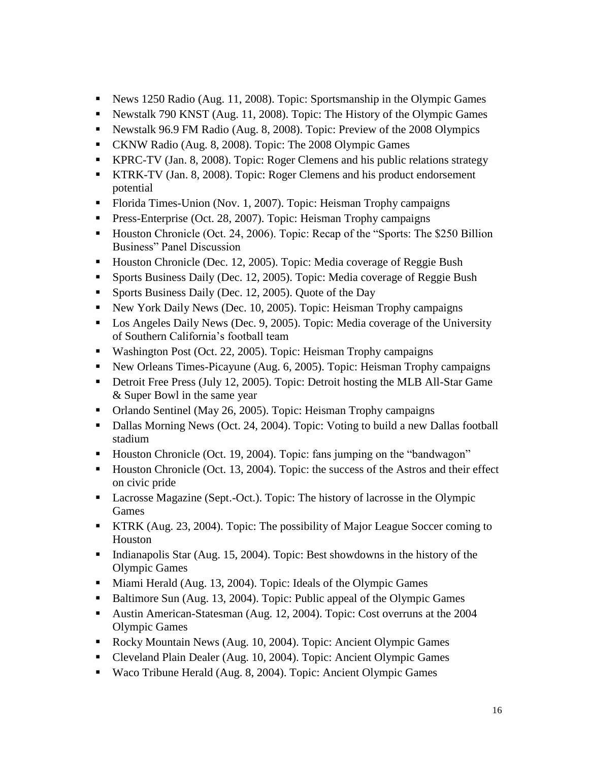- News 1250 Radio (Aug. 11, 2008). Topic: Sportsmanship in the Olympic Games
- Newstalk 790 KNST (Aug. 11, 2008). Topic: The History of the Olympic Games
- Newstalk 96.9 FM Radio (Aug. 8, 2008). Topic: Preview of the 2008 Olympics
- CKNW Radio (Aug. 8, 2008). Topic: The 2008 Olympic Games
- KPRC-TV (Jan. 8, 2008). Topic: Roger Clemens and his public relations strategy
- KTRK-TV (Jan. 8, 2008). Topic: Roger Clemens and his product endorsement potential
- Florida Times-Union (Nov. 1, 2007). Topic: Heisman Trophy campaigns
- **Press-Enterprise (Oct. 28, 2007). Topic: Heisman Trophy campaigns**
- Houston Chronicle (Oct. 24, 2006). Topic: Recap of the "Sports: The \$250 Billion Business" Panel Discussion
- Houston Chronicle (Dec. 12, 2005). Topic: Media coverage of Reggie Bush
- **Sports Business Daily (Dec. 12, 2005). Topic: Media coverage of Reggie Bush**
- **Sports Business Daily (Dec. 12, 2005). Quote of the Day**
- New York Daily News (Dec. 10, 2005). Topic: Heisman Trophy campaigns
- Los Angeles Daily News (Dec. 9, 2005). Topic: Media coverage of the University of Southern California's football team
- Washington Post (Oct. 22, 2005). Topic: Heisman Trophy campaigns
- New Orleans Times-Picayune (Aug. 6, 2005). Topic: Heisman Trophy campaigns
- Detroit Free Press (July 12, 2005). Topic: Detroit hosting the MLB All-Star Game & Super Bowl in the same year
- Orlando Sentinel (May 26, 2005). Topic: Heisman Trophy campaigns
- Dallas Morning News (Oct. 24, 2004). Topic: Voting to build a new Dallas football stadium
- Houston Chronicle (Oct. 19, 2004). Topic: fans jumping on the "bandwagon"
- Houston Chronicle (Oct. 13, 2004). Topic: the success of the Astros and their effect on civic pride
- Lacrosse Magazine (Sept.-Oct.). Topic: The history of lacrosse in the Olympic Games
- KTRK (Aug. 23, 2004). Topic: The possibility of Major League Soccer coming to Houston
- Indianapolis Star (Aug. 15, 2004). Topic: Best showdowns in the history of the Olympic Games
- Miami Herald (Aug. 13, 2004). Topic: Ideals of the Olympic Games
- Baltimore Sun (Aug. 13, 2004). Topic: Public appeal of the Olympic Games
- Austin American-Statesman (Aug. 12, 2004). Topic: Cost overruns at the 2004 Olympic Games
- Rocky Mountain News (Aug. 10, 2004). Topic: Ancient Olympic Games
- Cleveland Plain Dealer (Aug. 10, 2004). Topic: Ancient Olympic Games
- Waco Tribune Herald (Aug. 8, 2004). Topic: Ancient Olympic Games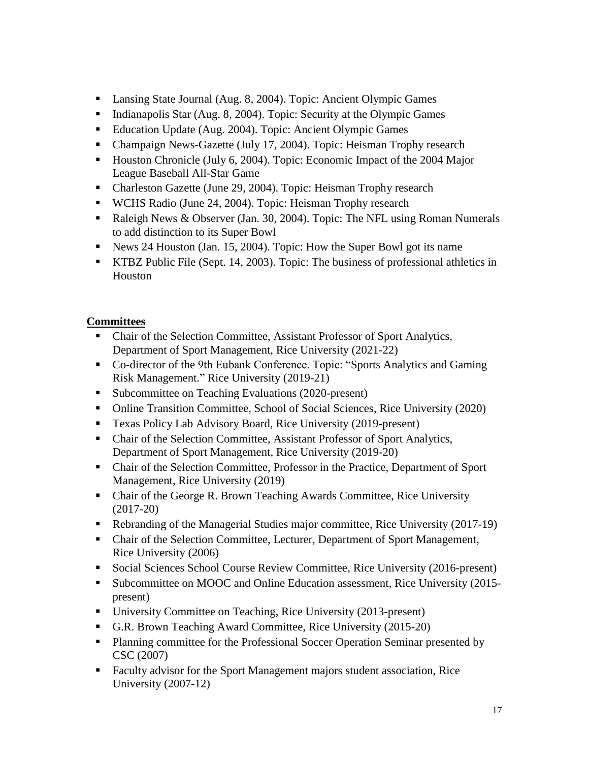- Lansing State Journal (Aug. 8, 2004). Topic: Ancient Olympic Games
- Indianapolis Star (Aug. 8, 2004). Topic: Security at the Olympic Games
- Education Update (Aug. 2004). Topic: Ancient Olympic Games
- Champaign News-Gazette (July 17, 2004). Topic: Heisman Trophy research
- Houston Chronicle (July 6, 2004). Topic: Economic Impact of the 2004 Major League Baseball All-Star Game
- Charleston Gazette (June 29, 2004). Topic: Heisman Trophy research
- WCHS Radio (June 24, 2004). Topic: Heisman Trophy research
- Raleigh News & Observer (Jan. 30, 2004). Topic: The NFL using Roman Numerals to add distinction to its Super Bowl
- News 24 Houston (Jan. 15, 2004). Topic: How the Super Bowl got its name
- KTBZ Public File (Sept. 14, 2003). Topic: The business of professional athletics in Houston

### **Committees**

- Chair of the Selection Committee, Assistant Professor of Sport Analytics, Department of Sport Management, Rice University (2021-22)
- Co-director of the 9th Eubank Conference. Topic: "Sports Analytics and Gaming Risk Management." Rice University (2019-21)
- Subcommittee on Teaching Evaluations (2020-present)
- Online Transition Committee, School of Social Sciences, Rice University (2020)
- Texas Policy Lab Advisory Board, Rice University (2019-present)
- Chair of the Selection Committee, Assistant Professor of Sport Analytics, Department of Sport Management, Rice University (2019-20)
- Chair of the Selection Committee, Professor in the Practice, Department of Sport Management, Rice University (2019)
- Chair of the George R. Brown Teaching Awards Committee, Rice University (2017-20)
- Rebranding of the Managerial Studies major committee, Rice University (2017-19)
- Chair of the Selection Committee, Lecturer, Department of Sport Management, Rice University (2006)
- Social Sciences School Course Review Committee, Rice University (2016-present)
- Subcommittee on MOOC and Online Education assessment, Rice University (2015present)
- University Committee on Teaching, Rice University (2013-present)
- G.R. Brown Teaching Award Committee, Rice University (2015-20)
- **Planning committee for the Professional Soccer Operation Seminar presented by** CSC (2007)
- Faculty advisor for the Sport Management majors student association, Rice University (2007-12)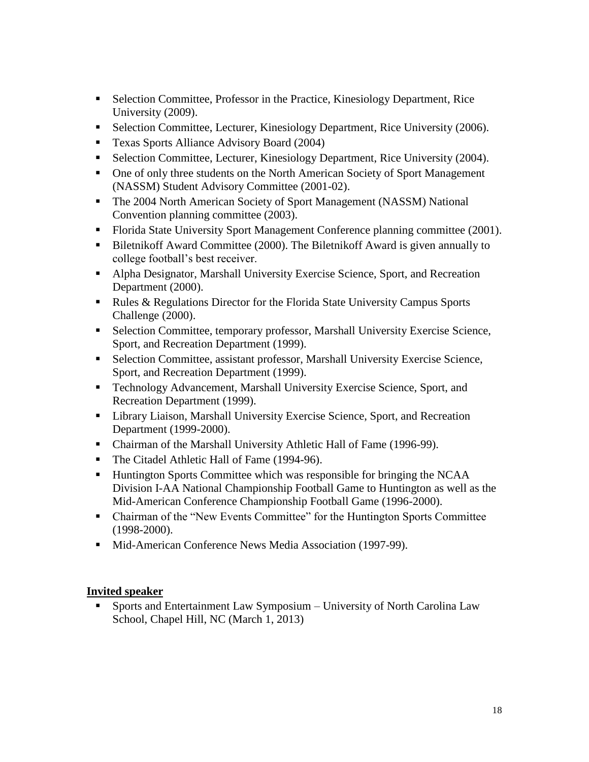- Selection Committee, Professor in the Practice, Kinesiology Department, Rice University (2009).
- Selection Committee, Lecturer, Kinesiology Department, Rice University (2006).
- **Texas Sports Alliance Advisory Board (2004)**
- Selection Committee, Lecturer, Kinesiology Department, Rice University (2004).
- One of only three students on the North American Society of Sport Management (NASSM) Student Advisory Committee (2001-02).
- The 2004 North American Society of Sport Management (NASSM) National Convention planning committee (2003).
- Florida State University Sport Management Conference planning committee (2001).
- Biletnikoff Award Committee (2000). The Biletnikoff Award is given annually to college football's best receiver.
- Alpha Designator, Marshall University Exercise Science, Sport, and Recreation Department (2000).
- Rules & Regulations Director for the Florida State University Campus Sports Challenge (2000).
- Selection Committee, temporary professor, Marshall University Exercise Science, Sport, and Recreation Department (1999).
- Selection Committee, assistant professor, Marshall University Exercise Science, Sport, and Recreation Department (1999).
- Technology Advancement, Marshall University Exercise Science, Sport, and Recreation Department (1999).
- **EXECUTE:** Library Liaison, Marshall University Exercise Science, Sport, and Recreation Department (1999-2000).
- Chairman of the Marshall University Athletic Hall of Fame (1996-99).
- The Citadel Athletic Hall of Fame (1994-96).
- Huntington Sports Committee which was responsible for bringing the NCAA Division I-AA National Championship Football Game to Huntington as well as the Mid-American Conference Championship Football Game (1996-2000).
- Chairman of the "New Events Committee" for the Huntington Sports Committee (1998-2000).
- Mid-American Conference News Media Association (1997-99).

### **Invited speaker**

 Sports and Entertainment Law Symposium – University of North Carolina Law School, Chapel Hill, NC (March 1, 2013)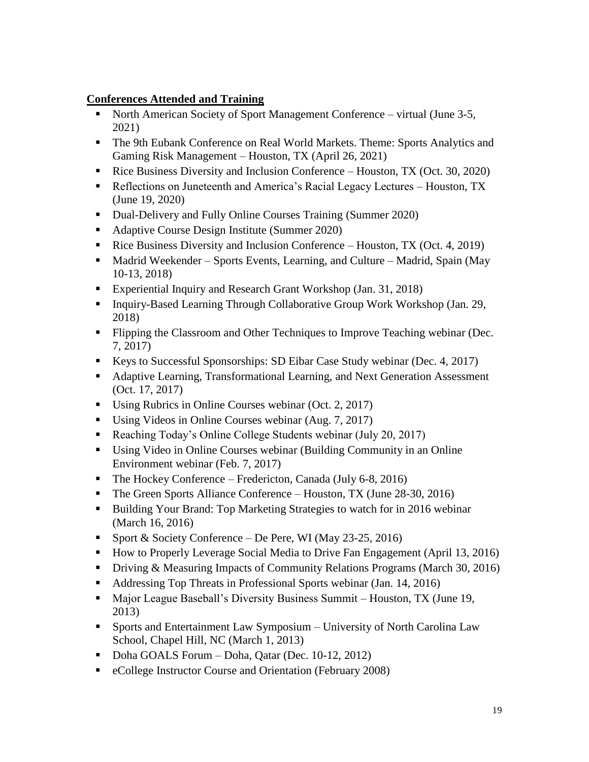#### **Conferences Attended and Training**

- North American Society of Sport Management Conference virtual (June 3-5, 2021)
- The 9th Eubank Conference on Real World Markets. Theme: Sports Analytics and Gaming Risk Management – Houston, TX (April 26, 2021)
- Rice Business Diversity and Inclusion Conference Houston, TX (Oct. 30, 2020)
- Reflections on Juneteenth and America's Racial Legacy Lectures Houston, TX (June 19, 2020)
- Dual-Delivery and Fully Online Courses Training (Summer 2020)
- Adaptive Course Design Institute (Summer 2020)
- Rice Business Diversity and Inclusion Conference Houston, TX (Oct. 4, 2019)
- Madrid Weekender Sports Events, Learning, and Culture Madrid, Spain (May 10-13, 2018)
- Experiential Inquiry and Research Grant Workshop (Jan. 31, 2018)
- Inquiry-Based Learning Through Collaborative Group Work Workshop (Jan. 29, 2018)
- Flipping the Classroom and Other Techniques to Improve Teaching webinar (Dec. 7, 2017)
- Keys to Successful Sponsorships: SD Eibar Case Study webinar (Dec. 4, 2017)
- Adaptive Learning, Transformational Learning, and Next Generation Assessment (Oct. 17, 2017)
- Using Rubrics in Online Courses webinar (Oct. 2, 2017)
- Using Videos in Online Courses webinar (Aug. 7, 2017)
- Reaching Today's Online College Students webinar (July 20, 2017)
- Using Video in Online Courses webinar (Building Community in an Online Environment webinar (Feb. 7, 2017)
- $\blacksquare$  The Hockey Conference Fredericton, Canada (July 6-8, 2016)
- The Green Sports Alliance Conference Houston, TX (June 28-30, 2016)
- Building Your Brand: Top Marketing Strategies to watch for in 2016 webinar (March 16, 2016)
- Sport & Society Conference De Pere, WI (May 23-25, 2016)
- How to Properly Leverage Social Media to Drive Fan Engagement (April 13, 2016)
- Driving & Measuring Impacts of Community Relations Programs (March 30, 2016)
- Addressing Top Threats in Professional Sports webinar (Jan. 14, 2016)
- Major League Baseball's Diversity Business Summit Houston, TX (June 19, 2013)
- Sports and Entertainment Law Symposium University of North Carolina Law School, Chapel Hill, NC (March 1, 2013)
- Doha GOALS Forum Doha, Qatar (Dec. 10-12, 2012)
- eCollege Instructor Course and Orientation (February 2008)